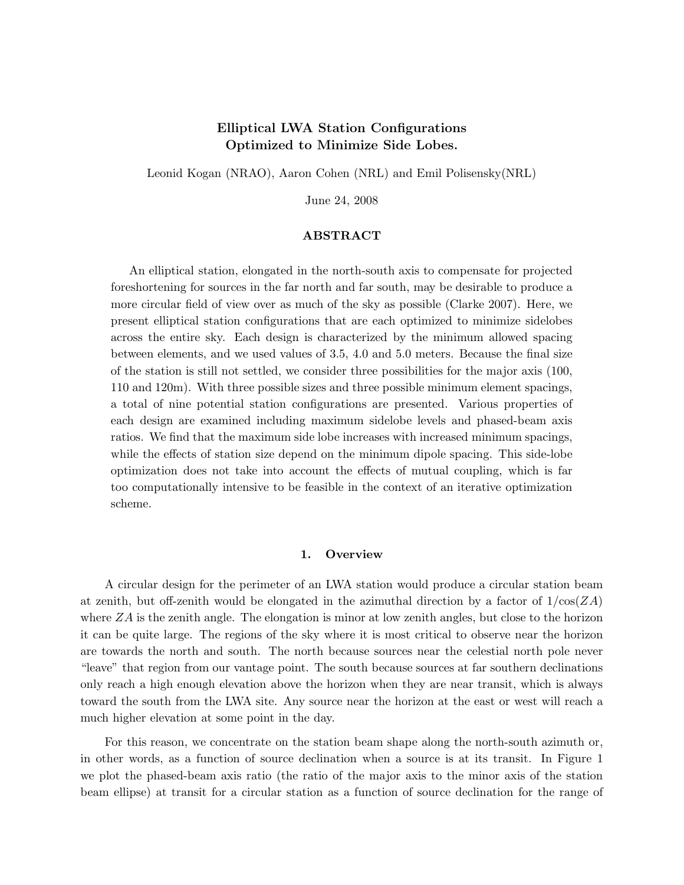# Elliptical LWA Station Configurations Optimized to Minimize Side Lobes.

Leonid Kogan (NRAO), Aaron Cohen (NRL) and Emil Polisensky(NRL)

June 24, 2008

### ${\rm ABSTRACT}$

An elliptical station, elongated in the north-south axis to compensate for projected foreshortening for sources in the far north and far south, may be desirable to produce a more circular field of view over as much of the sky as possible (Clarke 2007). Here, we present elliptical station configurations that are each optimized to minimize sidelobes across the entire sky. Each design is characterized by the minimum allowed spacing between elements, and we used values of 3.5, 4.0 and 5.0 meters. Because the final size of the station is still not settled, we consider three possibilities for the major axis (100, 110 and 120m). With three possible sizes and three possible minimum element spacings, a total of nine potential station configurations are presented. Various properties of each design are examined including maximum sidelobe levels and phased-beam axis ratios. We find that the maximum side lobe increases with increased minimum spacings, while the effects of station size depend on the minimum dipole spacing. This side-lobe optimization does not take into account the effects of mutual coupling, which is far too computationally intensive to be feasible in the context of an iterative optimization scheme.

## 1. Overview

A circular design for the perimeter of an LWA station would produce a circular station beam at zenith, but off-zenith would be elongated in the azimuthal direction by a factor of  $1/\cos(ZA)$ where  $ZA$  is the zenith angle. The elongation is minor at low zenith angles, but close to the horizon it can be quite large. The regions of the sky where it is most critical to observe near the horizon are towards the north and south. The north because sources near the celestial north pole never "leave" that region from our vantage point. The south because sources at far southern declinations only reach a high enough elevation above the horizon when they are near transit, which is always toward the south from the LWA site. Any source near the horizon at the east or west will reach a much higher elevation at some point in the day.

For this reason, we concentrate on the station beam shape along the north-south azimuth or, in other words, as a function of source declination when a source is at its transit. In Figure 1 we plot the phased-beam axis ratio (the ratio of the major axis to the minor axis of the station beam ellipse) at transit for a circular station as a function of source declination for the range of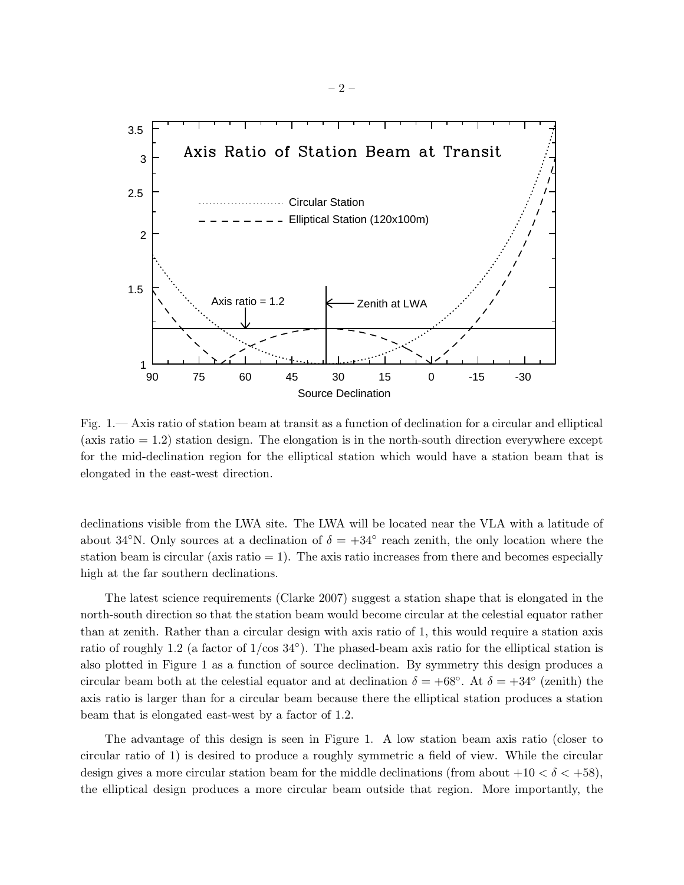

Fig. 1.— Axis ratio of station beam at transit as a function of declination for a circular and elliptical (axis ratio  $= 1.2$ ) station design. The elongation is in the north-south direction everywhere except for the mid-declination region for the elliptical station which would have a station beam that is elongated in the east-west direction.

declinations visible from the LWA site. The LWA will be located near the VLA with a latitude of about 34°N. Only sources at a declination of  $\delta = +34^{\circ}$  reach zenith, the only location where the station beam is circular (axis ratio  $= 1$ ). The axis ratio increases from there and becomes especially high at the far southern declinations.

The latest science requirements (Clarke 2007) suggest a station shape that is elongated in the north-south direction so that the station beam would become circular at the celestial equator rather than at zenith. Rather than a circular design with axis ratio of 1, this would require a station axis ratio of roughly 1.2 (a factor of  $1/\cos 34^\circ$ ). The phased-beam axis ratio for the elliptical station is also plotted in Figure 1 as a function of source declination. By symmetry this design produces a circular beam both at the celestial equator and at declination  $\delta = +68^\circ$ . At  $\delta = +34^\circ$  (zenith) the axis ratio is larger than for a circular beam because there the elliptical station produces a station beam that is elongated east-west by a factor of 1.2.

The advantage of this design is seen in Figure 1. A low station beam axis ratio (closer to circular ratio of 1) is desired to produce a roughly symmetric a field of view. While the circular design gives a more circular station beam for the middle declinations (from about  $+10 < \delta < +58$ ), the elliptical design produces a more circular beam outside that region. More importantly, the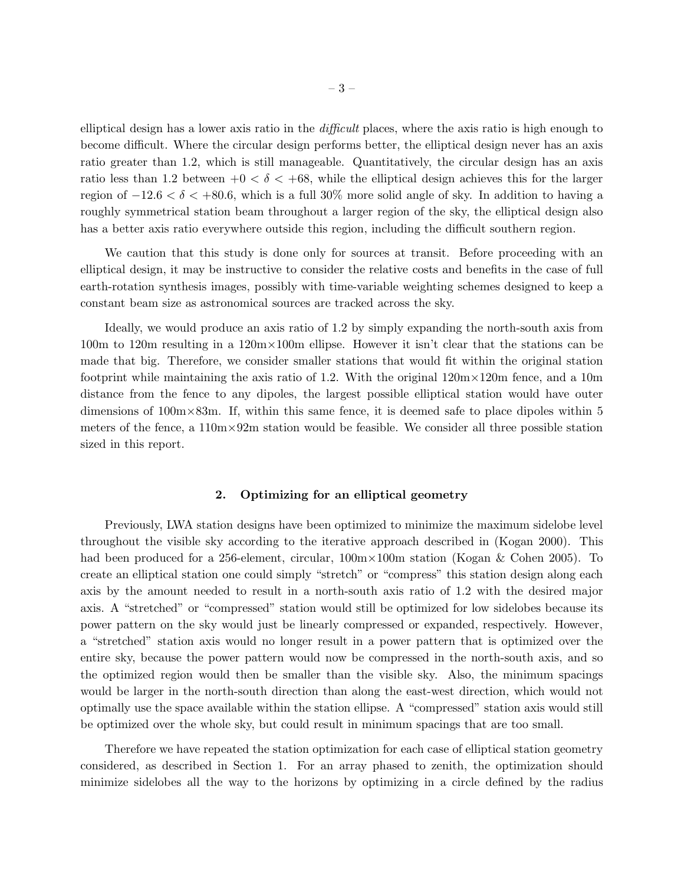elliptical design has a lower axis ratio in the difficult places, where the axis ratio is high enough to become difficult. Where the circular design performs better, the elliptical design never has an axis ratio greater than 1.2, which is still manageable. Quantitatively, the circular design has an axis ratio less than 1.2 between  $+0 < \delta < +68$ , while the elliptical design achieves this for the larger region of  $-12.6 < \delta < +80.6$ , which is a full 30% more solid angle of sky. In addition to having a roughly symmetrical station beam throughout a larger region of the sky, the elliptical design also has a better axis ratio everywhere outside this region, including the difficult southern region.

We caution that this study is done only for sources at transit. Before proceeding with an elliptical design, it may be instructive to consider the relative costs and benefits in the case of full earth-rotation synthesis images, possibly with time-variable weighting schemes designed to keep a constant beam size as astronomical sources are tracked across the sky.

Ideally, we would produce an axis ratio of 1.2 by simply expanding the north-south axis from 100m to 120m resulting in a 120m×100m ellipse. However it isn't clear that the stations can be made that big. Therefore, we consider smaller stations that would fit within the original station footprint while maintaining the axis ratio of 1.2. With the original  $120 \text{m} \times 120 \text{m}$  fence, and a 10m distance from the fence to any dipoles, the largest possible elliptical station would have outer dimensions of  $100 \text{m} \times 83 \text{m}$ . If, within this same fence, it is deemed safe to place dipoles within 5 meters of the fence, a  $110m \times 92m$  station would be feasible. We consider all three possible station sized in this report.

#### 2. Optimizing for an elliptical geometry

Previously, LWA station designs have been optimized to minimize the maximum sidelobe level throughout the visible sky according to the iterative approach described in (Kogan 2000). This had been produced for a 256-element, circular,  $100 \text{m} \times 100 \text{m}$  station (Kogan & Cohen 2005). To create an elliptical station one could simply "stretch" or "compress" this station design along each axis by the amount needed to result in a north-south axis ratio of 1.2 with the desired major axis. A "stretched" or "compressed" station would still be optimized for low sidelobes because its power pattern on the sky would just be linearly compressed or expanded, respectively. However, a "stretched" station axis would no longer result in a power pattern that is optimized over the entire sky, because the power pattern would now be compressed in the north-south axis, and so the optimized region would then be smaller than the visible sky. Also, the minimum spacings would be larger in the north-south direction than along the east-west direction, which would not optimally use the space available within the station ellipse. A "compressed" station axis would still be optimized over the whole sky, but could result in minimum spacings that are too small.

Therefore we have repeated the station optimization for each case of elliptical station geometry considered, as described in Section 1. For an array phased to zenith, the optimization should minimize sidelobes all the way to the horizons by optimizing in a circle defined by the radius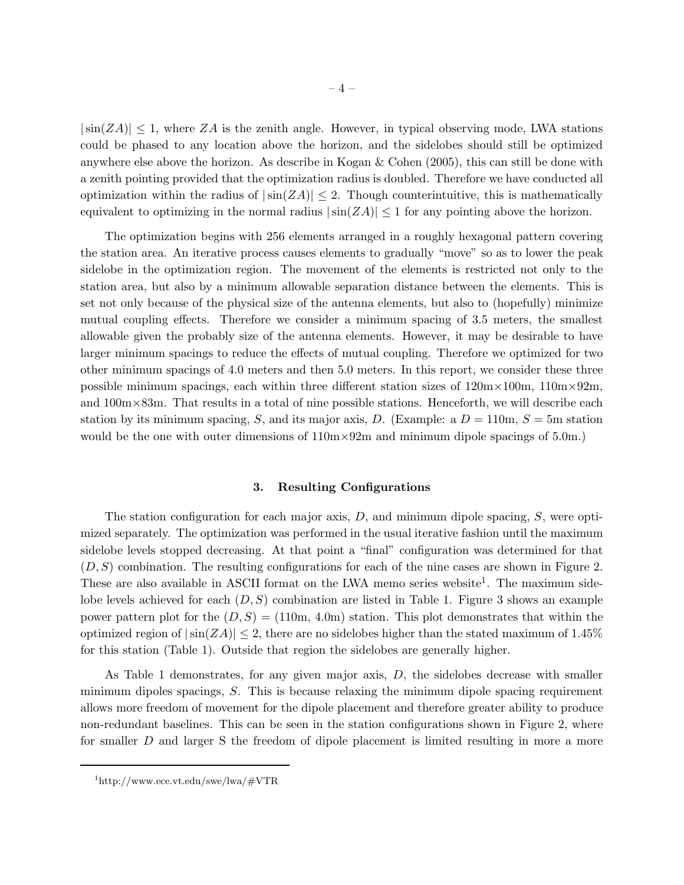$|\sin(ZA)| \leq 1$ , where ZA is the zenith angle. However, in typical observing mode, LWA stations could be phased to any location above the horizon, and the sidelobes should still be optimized anywhere else above the horizon. As describe in Kogan & Cohen (2005), this can still be done with a zenith pointing provided that the optimization radius is doubled. Therefore we have conducted all optimization within the radius of  $|\sin(ZA)| \leq 2$ . Though counterintuitive, this is mathematically equivalent to optimizing in the normal radius  $|\sin(ZA)| \leq 1$  for any pointing above the horizon.

The optimization begins with 256 elements arranged in a roughly hexagonal pattern covering the station area. An iterative process causes elements to gradually "move" so as to lower the peak sidelobe in the optimization region. The movement of the elements is restricted not only to the station area, but also by a minimum allowable separation distance between the elements. This is set not only because of the physical size of the antenna elements, but also to (hopefully) minimize mutual coupling effects. Therefore we consider a minimum spacing of 3.5 meters, the smallest allowable given the probably size of the antenna elements. However, it may be desirable to have larger minimum spacings to reduce the effects of mutual coupling. Therefore we optimized for two other minimum spacings of 4.0 meters and then 5.0 meters. In this report, we consider these three possible minimum spacings, each within three different station sizes of  $120 \text{m} \times 100 \text{m}$ ,  $110 \text{m} \times 92 \text{m}$ , and  $100 \text{m} \times 83 \text{m}$ . That results in a total of nine possible stations. Henceforth, we will describe each station by its minimum spacing, S, and its major axis, D. (Example: a  $D = 110$ m,  $S = 5$ m station would be the one with outer dimensions of  $110m \times 92m$  and minimum dipole spacings of 5.0m.)

## 3. Resulting Configurations

The station configuration for each major axis,  $D$ , and minimum dipole spacing,  $S$ , were optimized separately. The optimization was performed in the usual iterative fashion until the maximum sidelobe levels stopped decreasing. At that point a "final" configuration was determined for that  $(D, S)$  combination. The resulting configurations for each of the nine cases are shown in Figure 2. These are also available in ASCII format on the LWA memo series website<sup>1</sup>. The maximum sidelobe levels achieved for each  $(D, S)$  combination are listed in Table 1. Figure 3 shows an example power pattern plot for the  $(D, S) = (110m, 4.0m)$  station. This plot demonstrates that within the optimized region of  $|\sin(ZA)| \leq 2$ , there are no sidelobes higher than the stated maximum of 1.45% for this station (Table 1). Outside that region the sidelobes are generally higher.

As Table 1 demonstrates, for any given major axis, D, the sidelobes decrease with smaller minimum dipoles spacings, S. This is because relaxing the minimum dipole spacing requirement allows more freedom of movement for the dipole placement and therefore greater ability to produce non-redundant baselines. This can be seen in the station configurations shown in Figure 2, where for smaller D and larger S the freedom of dipole placement is limited resulting in more a more

<sup>1</sup> http://www.ece.vt.edu/swe/lwa/#VTR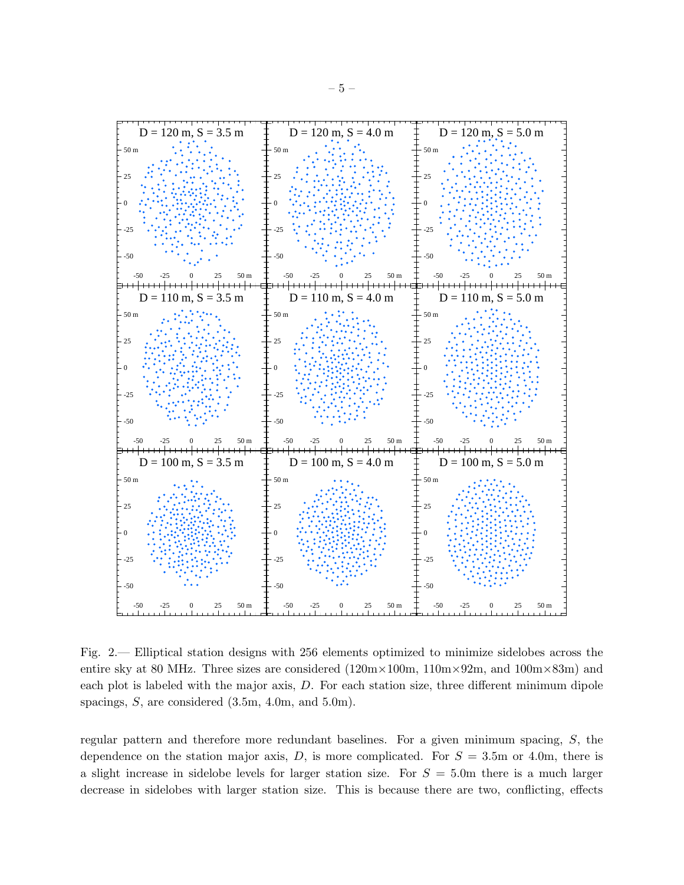

Fig. 2.— Elliptical station designs with 256 elements optimized to minimize sidelobes across the entire sky at 80 MHz. Three sizes are considered  $(120m \times 100m, 110m \times 92m,$  and  $100m \times 83m)$  and each plot is labeled with the major axis, D. For each station size, three different minimum dipole spacings, S, are considered (3.5m, 4.0m, and 5.0m).

regular pattern and therefore more redundant baselines. For a given minimum spacing, S, the dependence on the station major axis,  $D$ , is more complicated. For  $S = 3.5$ m or 4.0m, there is a slight increase in sidelobe levels for larger station size. For  $S = 5.0$ m there is a much larger decrease in sidelobes with larger station size. This is because there are two, conflicting, effects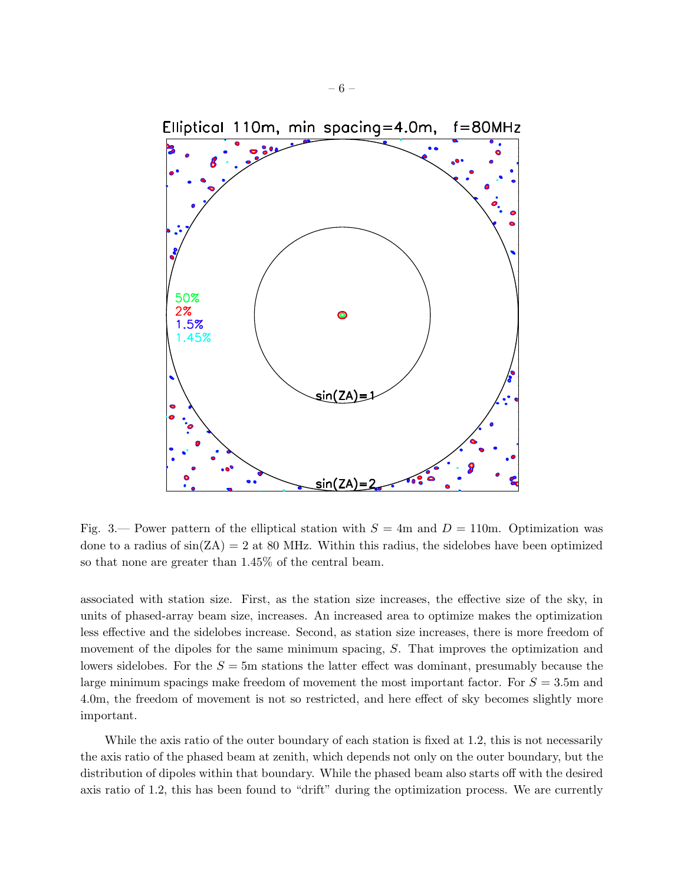

Fig. 3.— Power pattern of the elliptical station with  $S = 4$ m and  $D = 110$ m. Optimization was done to a radius of  $sin(ZA) = 2$  at 80 MHz. Within this radius, the sidelobes have been optimized so that none are greater than 1.45% of the central beam.

associated with station size. First, as the station size increases, the effective size of the sky, in units of phased-array beam size, increases. An increased area to optimize makes the optimization less effective and the sidelobes increase. Second, as station size increases, there is more freedom of movement of the dipoles for the same minimum spacing, S. That improves the optimization and lowers sidelobes. For the  $S = 5$ m stations the latter effect was dominant, presumably because the large minimum spacings make freedom of movement the most important factor. For  $S = 3.5$ m and 4.0m, the freedom of movement is not so restricted, and here effect of sky becomes slightly more important.

While the axis ratio of the outer boundary of each station is fixed at 1.2, this is not necessarily the axis ratio of the phased beam at zenith, which depends not only on the outer boundary, but the distribution of dipoles within that boundary. While the phased beam also starts off with the desired axis ratio of 1.2, this has been found to "drift" during the optimization process. We are currently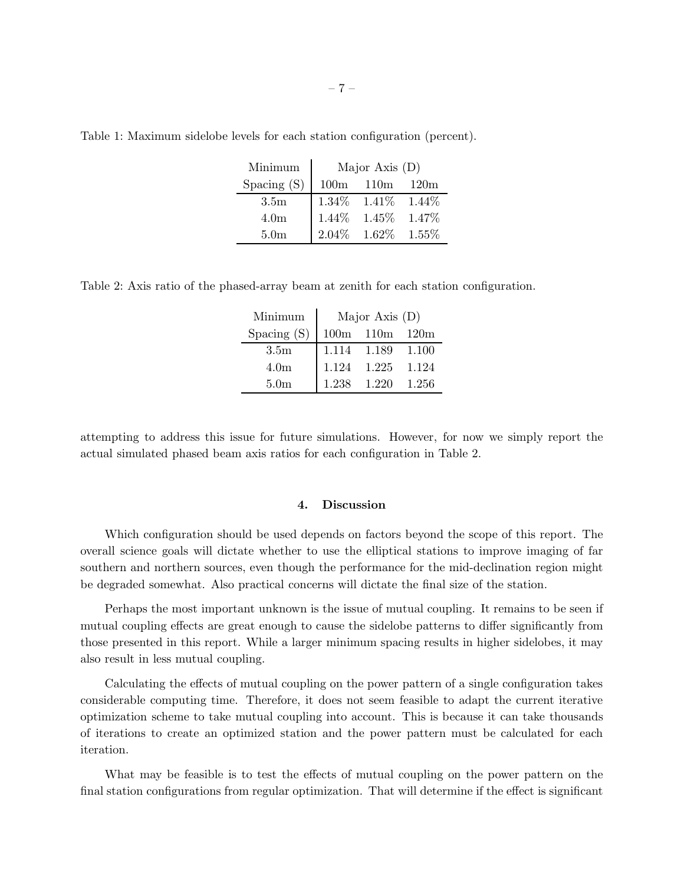| Minimum          | Major Axis $(D)$ |                            |          |  |
|------------------|------------------|----------------------------|----------|--|
| Spacing $(S)$    | 100 <sub>m</sub> | 110m                       | 120m     |  |
| 3.5 <sub>m</sub> |                  | $1.34\%$ $1.41\%$ $1.44\%$ |          |  |
| 4.0 <sub>m</sub> | $1.44\%$         | $1.45\%$                   | 1.47\%   |  |
| 5.0 <sub>m</sub> |                  | $2.04\%$ 1.62%             | $1.55\%$ |  |

Table 1: Maximum sidelobe levels for each station configuration (percent).

Table 2: Axis ratio of the phased-array beam at zenith for each station configuration.

| Minimum          | Major Axis $(D)$ |                      |         |
|------------------|------------------|----------------------|---------|
| Spacing (S)      |                  | $100m$ $110m$ $120m$ |         |
| 3.5 <sub>m</sub> |                  | 1.114 1.189          | 1.100   |
| 4.0 <sub>m</sub> | 1.124            | 1.225                | 1.124   |
| 5.0 <sub>m</sub> | 1.238            | 1.220                | - 1.256 |

attempting to address this issue for future simulations. However, for now we simply report the actual simulated phased beam axis ratios for each configuration in Table 2.

## 4. Discussion

Which configuration should be used depends on factors beyond the scope of this report. The overall science goals will dictate whether to use the elliptical stations to improve imaging of far southern and northern sources, even though the performance for the mid-declination region might be degraded somewhat. Also practical concerns will dictate the final size of the station.

Perhaps the most important unknown is the issue of mutual coupling. It remains to be seen if mutual coupling effects are great enough to cause the sidelobe patterns to differ significantly from those presented in this report. While a larger minimum spacing results in higher sidelobes, it may also result in less mutual coupling.

Calculating the effects of mutual coupling on the power pattern of a single configuration takes considerable computing time. Therefore, it does not seem feasible to adapt the current iterative optimization scheme to take mutual coupling into account. This is because it can take thousands of iterations to create an optimized station and the power pattern must be calculated for each iteration.

What may be feasible is to test the effects of mutual coupling on the power pattern on the final station configurations from regular optimization. That will determine if the effect is significant